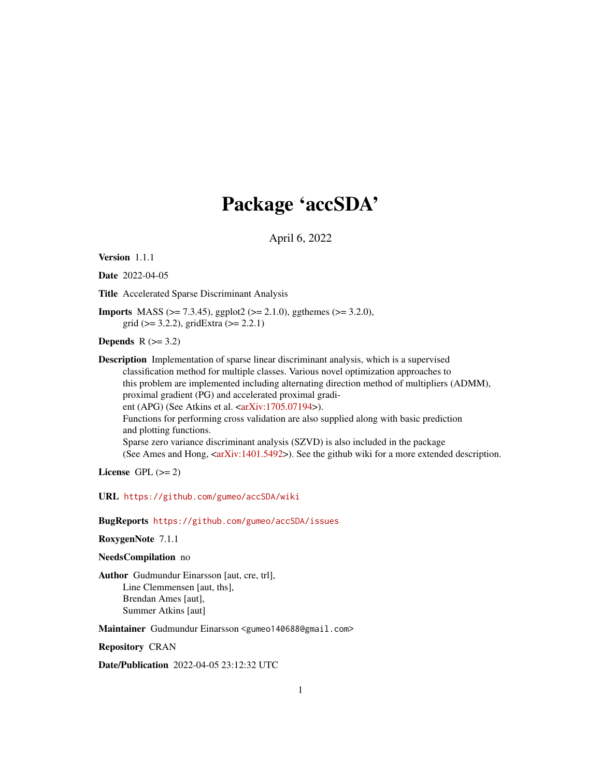# Package 'accSDA'

April 6, 2022

<span id="page-0-0"></span>Version 1.1.1

Date 2022-04-05

Title Accelerated Sparse Discriminant Analysis

**Imports** MASS ( $>= 7.3.45$ ), ggplot2 ( $>= 2.1.0$ ), ggthemes ( $>= 3.2.0$ ), grid ( $>= 3.2.2$ ), gridExtra ( $>= 2.2.1$ )

Depends  $R$  ( $>=$  3.2)

Description Implementation of sparse linear discriminant analysis, which is a supervised classification method for multiple classes. Various novel optimization approaches to this problem are implemented including alternating direction method of multipliers (ADMM), proximal gradient (PG) and accelerated proximal gradient (APG) (See Atkins et al.  $\langle \text{arXiv:1705.07194} \rangle$ ). Functions for performing cross validation are also supplied along with basic prediction and plotting functions. Sparse zero variance discriminant analysis (SZVD) is also included in the package (See Ames and Hong,  $\langle \text{arXiv:1401.5492} \rangle$ ). See the github wiki for a more extended description.

License GPL  $(>= 2)$ 

URL <https://github.com/gumeo/accSDA/wiki>

BugReports <https://github.com/gumeo/accSDA/issues>

RoxygenNote 7.1.1

NeedsCompilation no

Author Gudmundur Einarsson [aut, cre, trl], Line Clemmensen [aut, ths], Brendan Ames [aut], Summer Atkins [aut]

Maintainer Gudmundur Einarsson <gumeo140688@gmail.com>

Repository CRAN

Date/Publication 2022-04-05 23:12:32 UTC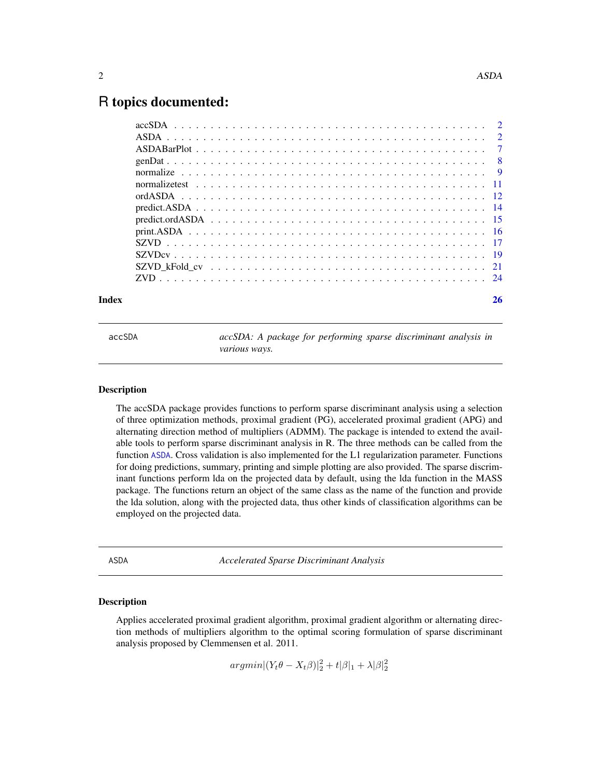# <span id="page-1-0"></span>R topics documented:

| Index | 26 |
|-------|----|
|       |    |
|       |    |
|       |    |
|       |    |
|       |    |
|       |    |
|       |    |
|       |    |
|       |    |
|       |    |
|       |    |
|       |    |
|       |    |
|       |    |

accSDA *accSDA: A package for performing sparse discriminant analysis in various ways.*

#### **Description**

The accSDA package provides functions to perform sparse discriminant analysis using a selection of three optimization methods, proximal gradient (PG), accelerated proximal gradient (APG) and alternating direction method of multipliers (ADMM). The package is intended to extend the available tools to perform sparse discriminant analysis in R. The three methods can be called from the function [ASDA](#page-1-1). Cross validation is also implemented for the L1 regularization parameter. Functions for doing predictions, summary, printing and simple plotting are also provided. The sparse discriminant functions perform lda on the projected data by default, using the lda function in the MASS package. The functions return an object of the same class as the name of the function and provide the lda solution, along with the projected data, thus other kinds of classification algorithms can be employed on the projected data.

<span id="page-1-1"></span>ASDA *Accelerated Sparse Discriminant Analysis*

### **Description**

Applies accelerated proximal gradient algorithm, proximal gradient algorithm or alternating direction methods of multipliers algorithm to the optimal scoring formulation of sparse discriminant analysis proposed by Clemmensen et al. 2011.

 $argmin |(Y_t \theta - X_t \beta)|_2^2 + t |\beta|_1 + \lambda |\beta|_2^2$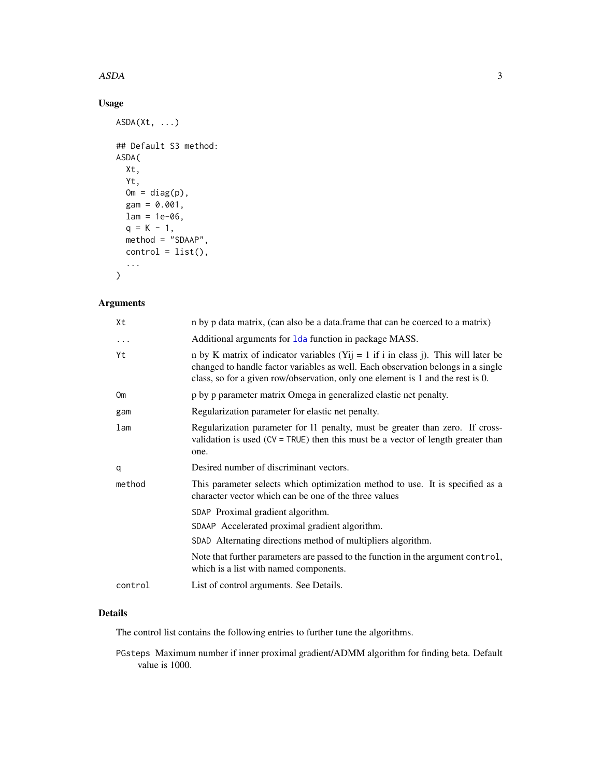#### <span id="page-2-0"></span> $ASDA$  3

# Usage

```
ASDA(Xt, ...)
## Default S3 method:
ASDA(
  Xt,
  Yt,
  Om = diag(p),
  gam = 0.001,
  lam = 1e-06,
  q = K - 1,
  method = "SDAAP",
  control = list(),...
)
```
# Arguments

| Xt              | n by p data matrix, (can also be a data.frame that can be coerced to a matrix)                                                                                                                                                                            |
|-----------------|-----------------------------------------------------------------------------------------------------------------------------------------------------------------------------------------------------------------------------------------------------------|
| $\cdots$        | Additional arguments for 1 da function in package MASS.                                                                                                                                                                                                   |
| Yt              | n by K matrix of indicator variables (Yij = 1 if i in class j). This will later be<br>changed to handle factor variables as well. Each observation belongs in a single<br>class, so for a given row/observation, only one element is 1 and the rest is 0. |
| <b>Om</b>       | p by p parameter matrix Omega in generalized elastic net penalty.                                                                                                                                                                                         |
| gam             | Regularization parameter for elastic net penalty.                                                                                                                                                                                                         |
| 1 <sub>am</sub> | Regularization parameter for 11 penalty, must be greater than zero. If cross-<br>validation is used $(CV = TRUE)$ then this must be a vector of length greater than<br>one.                                                                               |
| q               | Desired number of discriminant vectors.                                                                                                                                                                                                                   |
| method          | This parameter selects which optimization method to use. It is specified as a<br>character vector which can be one of the three values                                                                                                                    |
|                 | SDAP Proximal gradient algorithm.                                                                                                                                                                                                                         |
|                 | SDAAP Accelerated proximal gradient algorithm.                                                                                                                                                                                                            |
|                 | SDAD Alternating directions method of multipliers algorithm.                                                                                                                                                                                              |
|                 | Note that further parameters are passed to the function in the argument control,<br>which is a list with named components.                                                                                                                                |
| control         | List of control arguments. See Details.                                                                                                                                                                                                                   |

# Details

The control list contains the following entries to further tune the algorithms.

PGsteps Maximum number if inner proximal gradient/ADMM algorithm for finding beta. Default value is 1000.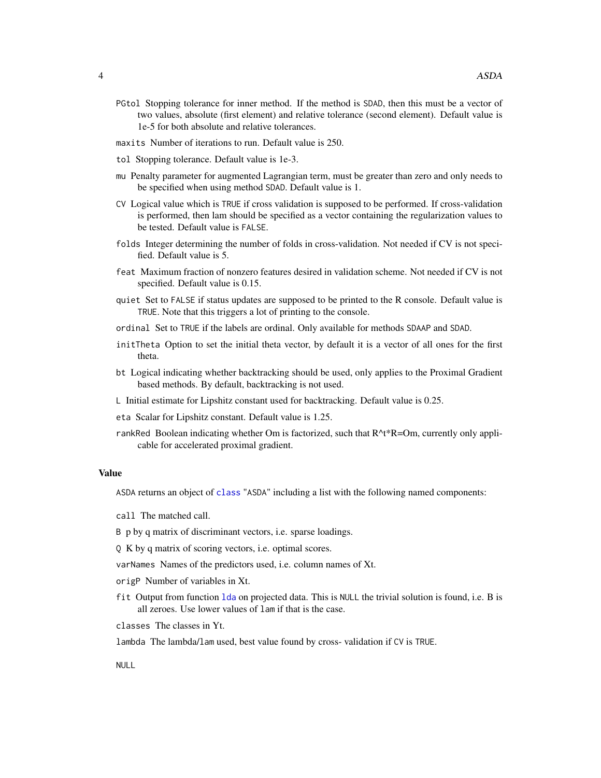- <span id="page-3-0"></span>PGtol Stopping tolerance for inner method. If the method is SDAD, then this must be a vector of two values, absolute (first element) and relative tolerance (second element). Default value is 1e-5 for both absolute and relative tolerances.
- maxits Number of iterations to run. Default value is 250.
- tol Stopping tolerance. Default value is 1e-3.
- mu Penalty parameter for augmented Lagrangian term, must be greater than zero and only needs to be specified when using method SDAD. Default value is 1.
- CV Logical value which is TRUE if cross validation is supposed to be performed. If cross-validation is performed, then lam should be specified as a vector containing the regularization values to be tested. Default value is FALSE.
- folds Integer determining the number of folds in cross-validation. Not needed if CV is not specified. Default value is 5.
- feat Maximum fraction of nonzero features desired in validation scheme. Not needed if CV is not specified. Default value is 0.15.
- quiet Set to FALSE if status updates are supposed to be printed to the R console. Default value is TRUE. Note that this triggers a lot of printing to the console.
- ordinal Set to TRUE if the labels are ordinal. Only available for methods SDAAP and SDAD.
- initTheta Option to set the initial theta vector, by default it is a vector of all ones for the first theta.
- bt Logical indicating whether backtracking should be used, only applies to the Proximal Gradient based methods. By default, backtracking is not used.
- L Initial estimate for Lipshitz constant used for backtracking. Default value is 0.25.
- eta Scalar for Lipshitz constant. Default value is 1.25.
- rankRed Boolean indicating whether Om is factorized, such that R^t\*R=Om, currently only applicable for accelerated proximal gradient.

#### Value

ASDA returns an object of [class](#page-0-0) "ASDA" including a list with the following named components:

call The matched call.

B p by q matrix of discriminant vectors, i.e. sparse loadings.

Q K by q matrix of scoring vectors, i.e. optimal scores.

varNames Names of the predictors used, i.e. column names of Xt.

origP Number of variables in Xt.

- fit Output from function [lda](#page-0-0) on projected data. This is NULL the trivial solution is found, i.e. B is all zeroes. Use lower values of lam if that is the case.
- classes The classes in Yt.

lambda The lambda/lam used, best value found by cross- validation if CV is TRUE.

NULL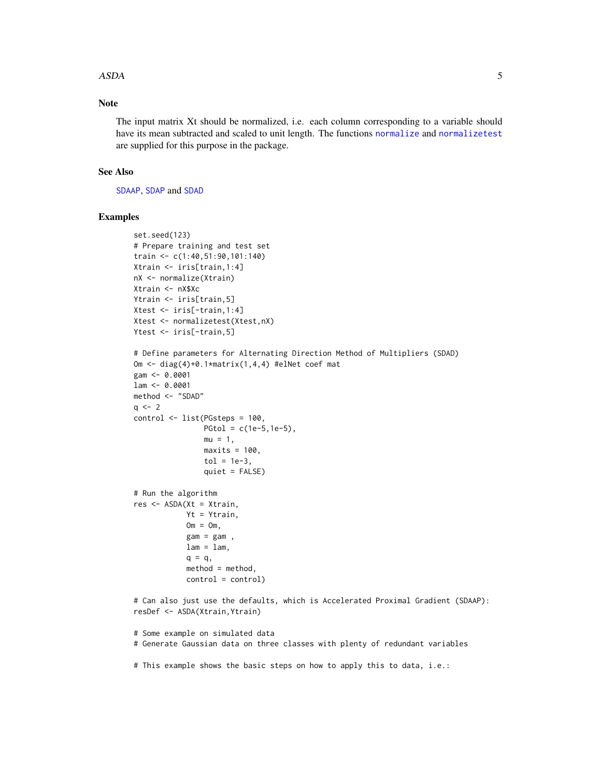#### <span id="page-4-0"></span>ASDA 5

# Note

The input matrix Xt should be normalized, i.e. each column corresponding to a variable should have its mean subtracted and scaled to unit length. The functions [normalize](#page-8-1) and [normalizetest](#page-10-1) are supplied for this purpose in the package.

#### See Also

[SDAAP](#page-0-0), [SDAP](#page-0-0) and [SDAD](#page-0-0)

#### Examples

```
set.seed(123)
# Prepare training and test set
train <- c(1:40,51:90,101:140)
Xtrain <- iris[train,1:4]
nX <- normalize(Xtrain)
Xtrain <- nX$Xc
Ytrain <- iris[train,5]
Xtest <- iris[-train,1:4]
Xtest <- normalizetest(Xtest,nX)
Ytest <- iris[-train,5]
# Define parameters for Alternating Direction Method of Multipliers (SDAD)
Om <- diag(4)+0.1*matrix(1,4,4) #elNet coef mat
gam <- 0.0001
lam <- 0.0001
method <- "SDAD"
q \le -2control <- list(PGsteps = 100,
                PGtol = c(1e-5, 1e-5),
                mu = 1,
                maxits = 100,
                tol = 1e-3,
                quiet = FALSE)
# Run the algorithm
res <- ASDA(Xt = Xtrain,
            Yt = Ytrain,
            Om = Om,gam = gam,
            lam = lam,q = q,
            method = method,
            control = control)
# Can also just use the defaults, which is Accelerated Proximal Gradient (SDAAP):
resDef <- ASDA(Xtrain,Ytrain)
# Some example on simulated data
# Generate Gaussian data on three classes with plenty of redundant variables
# This example shows the basic steps on how to apply this to data, i.e.:
```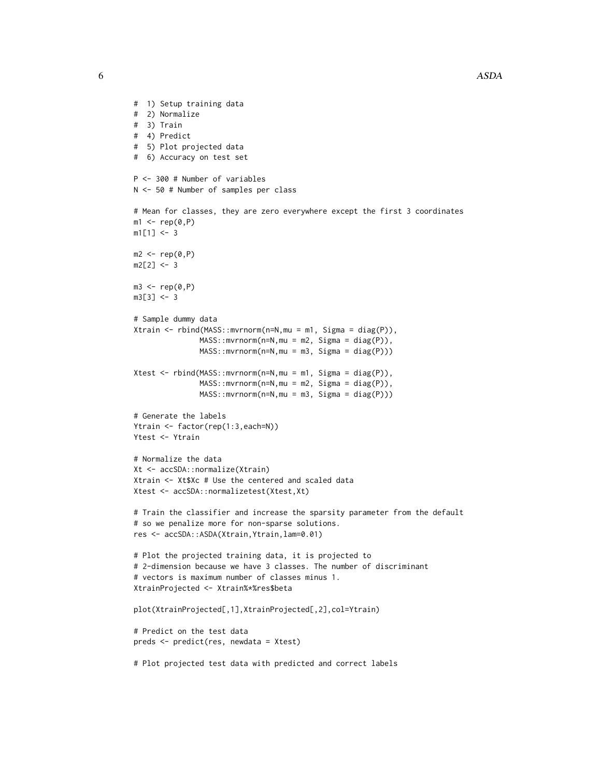```
# 1) Setup training data
# 2) Normalize
# 3) Train
# 4) Predict
# 5) Plot projected data
# 6) Accuracy on test set
P <- 300 # Number of variables
N <- 50 # Number of samples per class
# Mean for classes, they are zero everywhere except the first 3 coordinates
m1 < -rep(0, P)m1[1] < -3m2 < -\text{rep}(0, P)m2[2] < -3m3 \leq -rep(0, P)m3[3] < -3# Sample dummy data
Xtrain <- rbind(MASS::mvrnorm(n=N,mu = m1, Sigma = diag(P)),
               MASS::mvrnorm(n=N,mu = m2, Sigma = diag(P)),
               MASS::mvrnorm(n=N,mu = m3, Sigma = diag(P)))
Xtest <- rbind(MASS::mvrnorm(n=N,mu = m1, Sigma = diag(P)),
               MASS: : mvrnorm(n=N, mu = m2, Sigma = diag(P)),MASS::mvrnorm(n=N,mu = m3, Sigma = diag(P)))
# Generate the labels
Ytrain <- factor(rep(1:3,each=N))
Ytest <- Ytrain
# Normalize the data
Xt <- accSDA::normalize(Xtrain)
Xtrain <- Xt$Xc # Use the centered and scaled data
Xtest <- accSDA::normalizetest(Xtest,Xt)
# Train the classifier and increase the sparsity parameter from the default
# so we penalize more for non-sparse solutions.
res <- accSDA::ASDA(Xtrain,Ytrain,lam=0.01)
# Plot the projected training data, it is projected to
# 2-dimension because we have 3 classes. The number of discriminant
# vectors is maximum number of classes minus 1.
XtrainProjected <- Xtrain%*%res$beta
plot(XtrainProjected[,1],XtrainProjected[,2],col=Ytrain)
# Predict on the test data
preds <- predict(res, newdata = Xtest)
# Plot projected test data with predicted and correct labels
```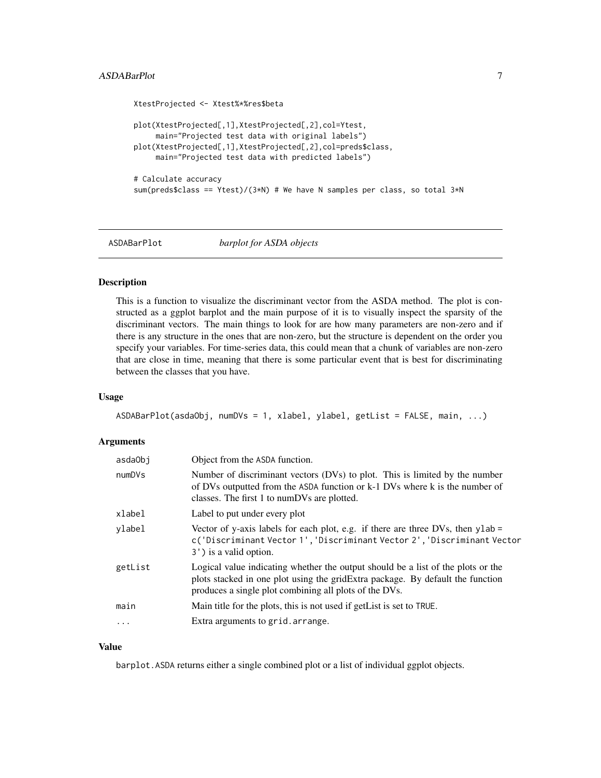# <span id="page-6-0"></span>ASDABarPlot 7

```
XtestProjected <- Xtest%*%res$beta
plot(XtestProjected[,1],XtestProjected[,2],col=Ytest,
     main="Projected test data with original labels")
plot(XtestProjected[,1],XtestProjected[,2],col=preds$class,
    main="Projected test data with predicted labels")
# Calculate accuracy
sum(preds$class == Ytest)/(3*N) # We have N samples per class, so total 3*N
```

```
ASDABarPlot barplot for ASDA objects
```
#### Description

This is a function to visualize the discriminant vector from the ASDA method. The plot is constructed as a ggplot barplot and the main purpose of it is to visually inspect the sparsity of the discriminant vectors. The main things to look for are how many parameters are non-zero and if there is any structure in the ones that are non-zero, but the structure is dependent on the order you specify your variables. For time-series data, this could mean that a chunk of variables are non-zero that are close in time, meaning that there is some particular event that is best for discriminating between the classes that you have.

#### Usage

```
ASDABarPlot(asdaObj, numDVs = 1, xlabel, ylabel, getList = FALSE, main, ...)
```
#### **Arguments**

| asdaObi  | Object from the ASDA function.                                                                                                                                                                                               |
|----------|------------------------------------------------------------------------------------------------------------------------------------------------------------------------------------------------------------------------------|
| numDVs   | Number of discriminant vectors (DVs) to plot. This is limited by the number<br>of DVs outputted from the ASDA function or k-1 DVs where k is the number of<br>classes. The first 1 to numDVs are plotted.                    |
| xlabel   | Label to put under every plot                                                                                                                                                                                                |
| ylabel   | Vector of y-axis labels for each plot, e.g. if there are three DVs, then $y$ lab =<br>c('Discriminant Vector 1', 'Discriminant Vector 2', 'Discriminant Vector<br>3') is a valid option.                                     |
| getList  | Logical value indicating whether the output should be a list of the plots or the<br>plots stacked in one plot using the gridExtra package. By default the function<br>produces a single plot combining all plots of the DVs. |
| main     | Main title for the plots, this is not used if get List is set to TRUE.                                                                                                                                                       |
| $\cdots$ | Extra arguments to grid. arrange.                                                                                                                                                                                            |

#### Value

barplot.ASDA returns either a single combined plot or a list of individual ggplot objects.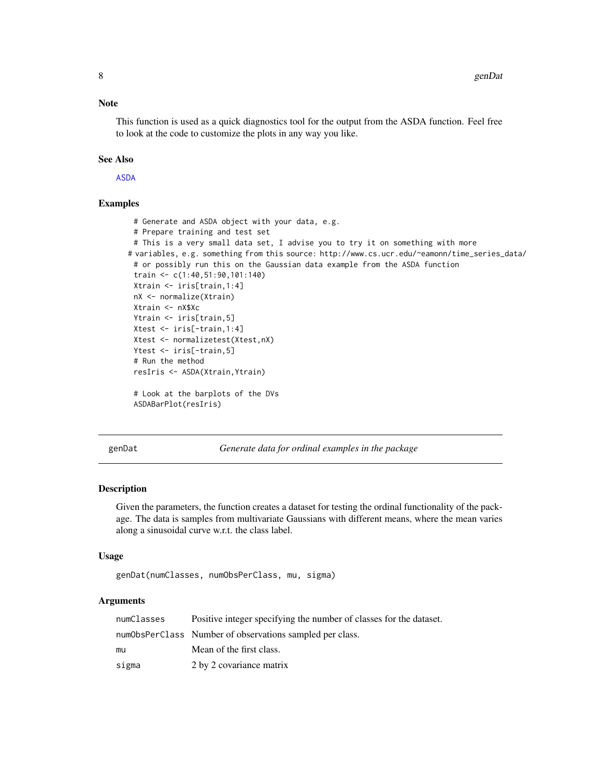#### <span id="page-7-0"></span>Note

This function is used as a quick diagnostics tool for the output from the ASDA function. Feel free to look at the code to customize the plots in any way you like.

#### See Also

[ASDA](#page-1-1)

#### Examples

```
# Generate and ASDA object with your data, e.g.
 # Prepare training and test set
 # This is a very small data set, I advise you to try it on something with more
# variables, e.g. something from this source: http://www.cs.ucr.edu/~eamonn/time_series_data/
 # or possibly run this on the Gaussian data example from the ASDA function
 train <- c(1:40,51:90,101:140)
 Xtrain <- iris[train,1:4]
 nX <- normalize(Xtrain)
Xtrain <- nX$Xc
 Ytrain <- iris[train,5]
 Xtest <- iris[-train,1:4]
 Xtest <- normalizetest(Xtest,nX)
 Ytest <- iris[-train,5]
 # Run the method
 resIris <- ASDA(Xtrain,Ytrain)
 # Look at the barplots of the DVs
 ASDABarPlot(resIris)
```
genDat *Generate data for ordinal examples in the package*

# Description

Given the parameters, the function creates a dataset for testing the ordinal functionality of the package. The data is samples from multivariate Gaussians with different means, where the mean varies along a sinusoidal curve w.r.t. the class label.

#### Usage

```
genDat(numClasses, numObsPerClass, mu, sigma)
```
#### Arguments

| numClasses | Positive integer specifying the number of classes for the dataset. |
|------------|--------------------------------------------------------------------|
|            | numObsPerClass Number of observations sampled per class.           |
| mu         | Mean of the first class.                                           |
| sigma      | 2 by 2 covariance matrix                                           |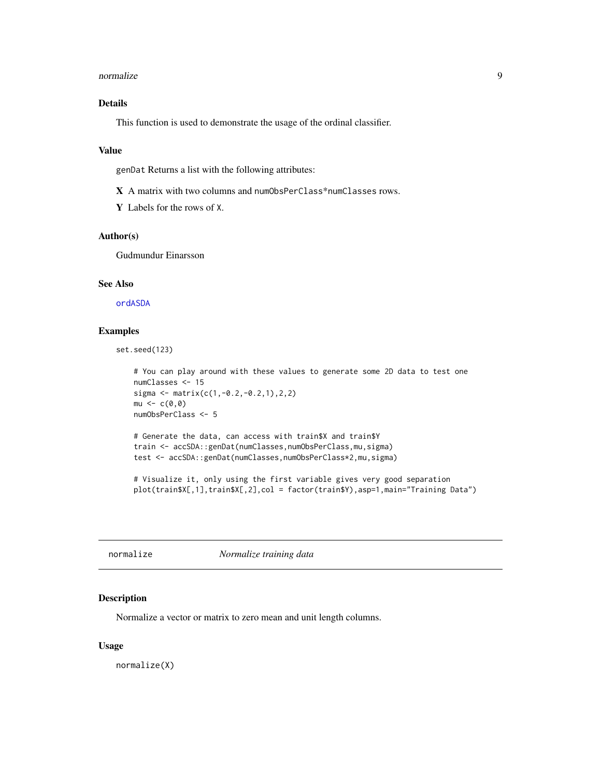#### <span id="page-8-0"></span>normalize 9

# Details

This function is used to demonstrate the usage of the ordinal classifier.

#### Value

genDat Returns a list with the following attributes:

X A matrix with two columns and numObsPerClass\*numClasses rows.

Y Labels for the rows of X.

#### Author(s)

Gudmundur Einarsson

# See Also

[ordASDA](#page-11-1)

#### Examples

set.seed(123)

```
# You can play around with these values to generate some 2D data to test one
numClasses <- 15
sigma <- matrix(c(1,-0.2,-0.2,1),2,2)
mu < - c(0, 0)numObsPerClass <- 5
# Generate the data, can access with train$X and train$Y
train <- accSDA::genDat(numClasses,numObsPerClass,mu,sigma)
test <- accSDA::genDat(numClasses,numObsPerClass*2,mu,sigma)
```
# Visualize it, only using the first variable gives very good separation plot(train\$X[,1],train\$X[,2],col = factor(train\$Y),asp=1,main="Training Data")

<span id="page-8-1"></span>normalize *Normalize training data*

#### Description

Normalize a vector or matrix to zero mean and unit length columns.

#### Usage

normalize(X)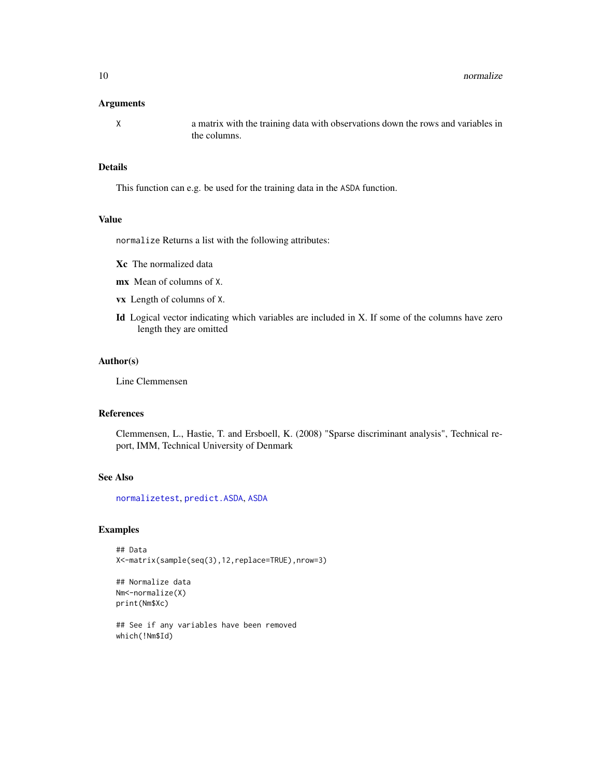#### <span id="page-9-0"></span>Arguments

X a matrix with the training data with observations down the rows and variables in the columns.

# Details

This function can e.g. be used for the training data in the ASDA function.

#### Value

normalize Returns a list with the following attributes:

- Xc The normalized data
- mx Mean of columns of X.
- vx Length of columns of X.
- Id Logical vector indicating which variables are included in X. If some of the columns have zero length they are omitted

# Author(s)

Line Clemmensen

# References

Clemmensen, L., Hastie, T. and Ersboell, K. (2008) "Sparse discriminant analysis", Technical report, IMM, Technical University of Denmark

#### See Also

[normalizetest](#page-10-1), [predict.ASDA](#page-13-1), [ASDA](#page-1-1)

#### Examples

```
## Data
X<-matrix(sample(seq(3),12,replace=TRUE),nrow=3)
```

```
## Normalize data
Nm<-normalize(X)
print(Nm$Xc)
```
## See if any variables have been removed which(!Nm\$Id)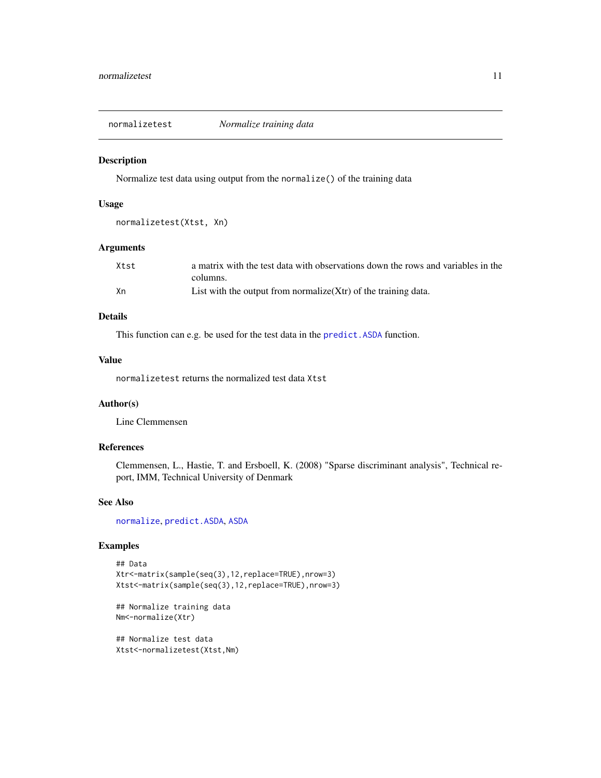<span id="page-10-1"></span><span id="page-10-0"></span>normalizetest *Normalize training data*

#### Description

Normalize test data using output from the normalize() of the training data

#### Usage

```
normalizetest(Xtst, Xn)
```
#### Arguments

| Xtst | a matrix with the test data with observations down the rows and variables in the |
|------|----------------------------------------------------------------------------------|
|      | columns.                                                                         |
| Xn   | List with the output from normalize $(Xtr)$ of the training data.                |

#### Details

This function can e.g. be used for the test data in the [predict.ASDA](#page-13-1) function.

#### Value

normalizetest returns the normalized test data Xtst

# Author(s)

Line Clemmensen

# References

Clemmensen, L., Hastie, T. and Ersboell, K. (2008) "Sparse discriminant analysis", Technical report, IMM, Technical University of Denmark

# See Also

[normalize](#page-8-1), [predict.ASDA](#page-13-1), [ASDA](#page-1-1)

# Examples

```
## Data
Xtr<-matrix(sample(seq(3),12,replace=TRUE),nrow=3)
Xtst<-matrix(sample(seq(3),12,replace=TRUE),nrow=3)
```

```
## Normalize training data
Nm<-normalize(Xtr)
```
## Normalize test data Xtst<-normalizetest(Xtst,Nm)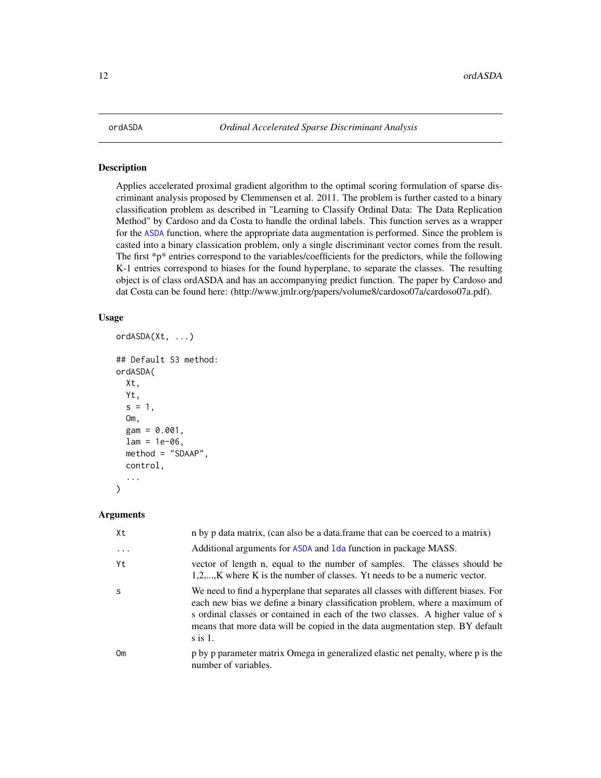<span id="page-11-1"></span><span id="page-11-0"></span>

#### Description

Applies accelerated proximal gradient algorithm to the optimal scoring formulation of sparse discriminant analysis proposed by Clemmensen et al. 2011. The problem is further casted to a binary classification problem as described in "Learning to Classify Ordinal Data: The Data Replication Method" by Cardoso and da Costa to handle the ordinal labels. This function serves as a wrapper for the [ASDA](#page-1-1) function, where the appropriate data augmentation is performed. Since the problem is casted into a binary classication problem, only a single discriminant vector comes from the result. The first  $\mathbb{R}_p^*$  entries correspond to the variables/coefficients for the predictors, while the following K-1 entries correspond to biases for the found hyperplane, to separate the classes. The resulting object is of class ordASDA and has an accompanying predict function. The paper by Cardoso and dat Costa can be found here: (http://www.jmlr.org/papers/volume8/cardoso07a/cardoso07a.pdf).

#### Usage

```
ordASDA(Xt, ...)
## Default S3 method:
ordASDA(
  Xt,
  Yt,
  s = 1,
  Om,
  gam = 0.001,lam = 1e-06,
  method = "SDAAP",
  control,
  ...
)
```
#### Arguments

| Xt       | n by p data matrix, (can also be a data.frame that can be coerced to a matrix)                                                                                                                                                                                                                                                                     |
|----------|----------------------------------------------------------------------------------------------------------------------------------------------------------------------------------------------------------------------------------------------------------------------------------------------------------------------------------------------------|
| $\cdots$ | Additional arguments for ASDA and 1da function in package MASS.                                                                                                                                                                                                                                                                                    |
| Yt.      | vector of length n, equal to the number of samples. The classes should be<br>$1,2,,K$ where K is the number of classes. Yt needs to be a numeric vector.                                                                                                                                                                                           |
| -S       | We need to find a hyperplane that separates all classes with different biases. For<br>each new bias we define a binary classification problem, where a maximum of<br>s ordinal classes or contained in each of the two classes. A higher value of s<br>means that more data will be copied in the data augmentation step. BY default<br>$\sin 1$ . |
| Om       | p by p parameter matrix Omega in generalized elastic net penalty, where p is the<br>number of variables.                                                                                                                                                                                                                                           |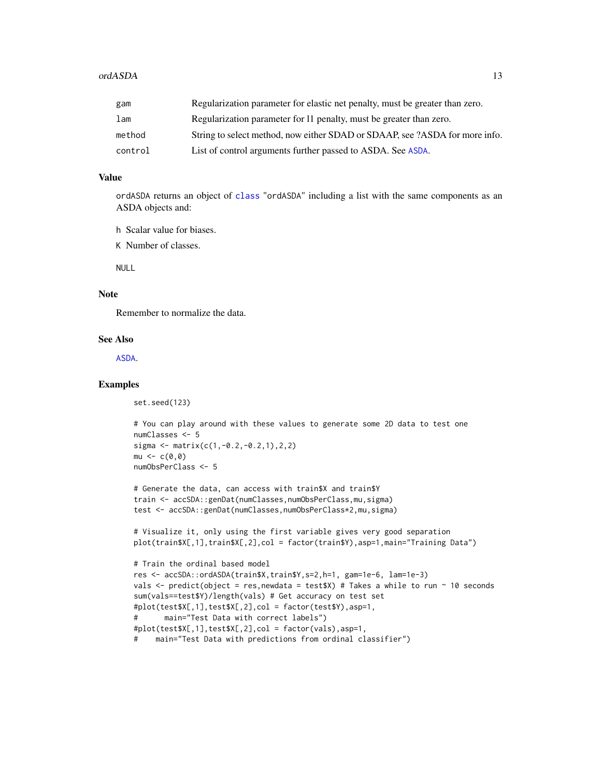<span id="page-12-0"></span>

| gam     | Regularization parameter for elastic net penalty, must be greater than zero. |
|---------|------------------------------------------------------------------------------|
| lam     | Regularization parameter for 11 penalty, must be greater than zero.          |
| method  | String to select method, now either SDAD or SDAAP, see ?ASDA for more info.  |
| control | List of control arguments further passed to ASDA. See ASDA.                  |

#### Value

ordASDA returns an object of [class](#page-0-0) "ordASDA" including a list with the same components as an ASDA objects and:

- h Scalar value for biases.
- K Number of classes.

NULL

#### Note

Remember to normalize the data.

#### See Also

[ASDA](#page-1-1).

### Examples

set.seed(123)

```
# You can play around with these values to generate some 2D data to test one
numClasses <- 5
sigma \leq matrix(c(1,-0.2,-0.2,1),2,2)
mu < -c(0, 0)numObsPerClass <- 5
```

```
# Generate the data, can access with train$X and train$Y
train <- accSDA::genDat(numClasses,numObsPerClass,mu,sigma)
test <- accSDA::genDat(numClasses,numObsPerClass*2,mu,sigma)
```

```
# Visualize it, only using the first variable gives very good separation
plot(train$X[,1],train$X[,2],col = factor(train$Y),asp=1,main="Training Data")
```

```
# Train the ordinal based model
res <- accSDA::ordASDA(train$X,train$Y,s=2,h=1, gam=1e-6, lam=1e-3)
vals \le- predict(object = res, newdata = test$X) # Takes a while to run \sim 10 seconds
sum(vals==test$Y)/length(vals) # Get accuracy on test set
#plot(test$X[,1],test$X[,2],col = factor(test$Y),asp=1,
# main="Test Data with correct labels")
#plot(test$X[,1],test$X[,2],col = factor(vals),asp=1,
# main="Test Data with predictions from ordinal classifier")
```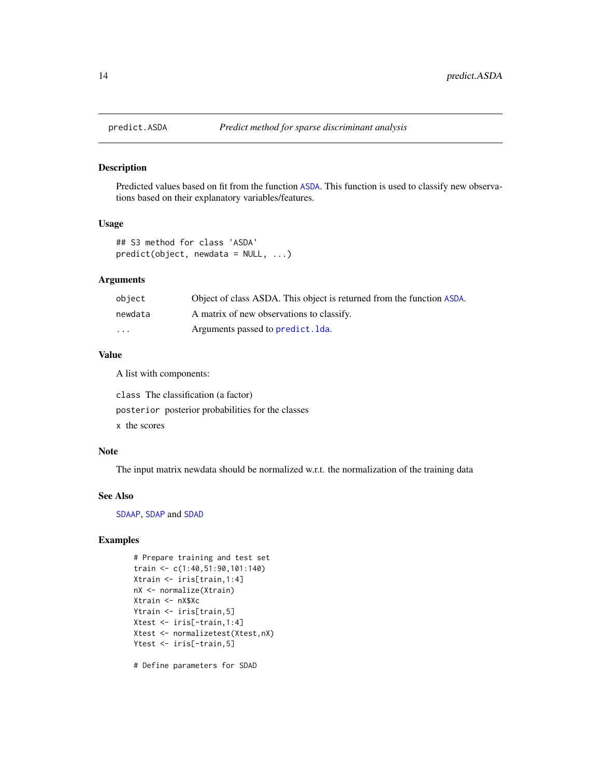<span id="page-13-1"></span><span id="page-13-0"></span>

# Description

Predicted values based on fit from the function [ASDA](#page-1-1). This function is used to classify new observations based on their explanatory variables/features.

#### Usage

```
## S3 method for class 'ASDA'
predict(object, newdata = NULL, ...)
```
#### Arguments

| obiect   | Object of class ASDA. This object is returned from the function ASDA. |
|----------|-----------------------------------------------------------------------|
| newdata  | A matrix of new observations to classify.                             |
| $\cdots$ | Arguments passed to predict. Ida.                                     |

#### Value

A list with components:

class The classification (a factor) posterior posterior probabilities for the classes x the scores

#### Note

The input matrix newdata should be normalized w.r.t. the normalization of the training data

#### See Also

[SDAAP](#page-0-0), [SDAP](#page-0-0) and [SDAD](#page-0-0)

# Examples

```
# Prepare training and test set
train <- c(1:40,51:90,101:140)
Xtrain <- iris[train,1:4]
nX <- normalize(Xtrain)
Xtrain <- nX$Xc
Ytrain <- iris[train,5]
Xtest <- iris[-train,1:4]
Xtest <- normalizetest(Xtest,nX)
Ytest <- iris[-train,5]
```
# Define parameters for SDAD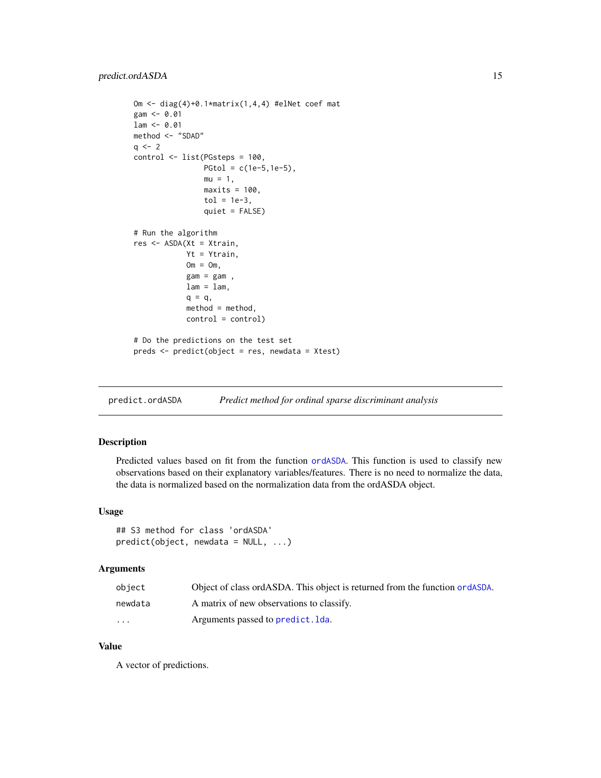# <span id="page-14-0"></span>predict.ordASDA 15

```
Om <- diag(4)+0.1*matrix(1,4,4) #elNet coef mat
gam < -0.01lam < -0.01method <- "SDAD"
q \le -2control <- list(PGsteps = 100,
                PGtol = c(1e-5, 1e-5),
                mu = 1,
                maxits = 100,
                tol = 1e-3,quiet = FALSE)
# Run the algorithm
res <- ASDA(Xt = Xtrain,
            Yt = Ytrain,
            Om = Om,gam = gam,
            lam = lam,q = q,
            method = method,control = control)
# Do the predictions on the test set
preds <- predict(object = res, newdata = Xtest)
```
predict.ordASDA *Predict method for ordinal sparse discriminant analysis*

# Description

Predicted values based on fit from the function [ordASDA](#page-11-1). This function is used to classify new observations based on their explanatory variables/features. There is no need to normalize the data, the data is normalized based on the normalization data from the ordASDA object.

#### Usage

## S3 method for class 'ordASDA'  $predict(object, new data = NULL, ...)$ 

# Arguments

| object                  | Object of class ordASDA. This object is returned from the function ordASDA. |
|-------------------------|-----------------------------------------------------------------------------|
| newdata                 | A matrix of new observations to classify.                                   |
| $\cdot$ $\cdot$ $\cdot$ | Arguments passed to predict. Ida.                                           |

# Value

A vector of predictions.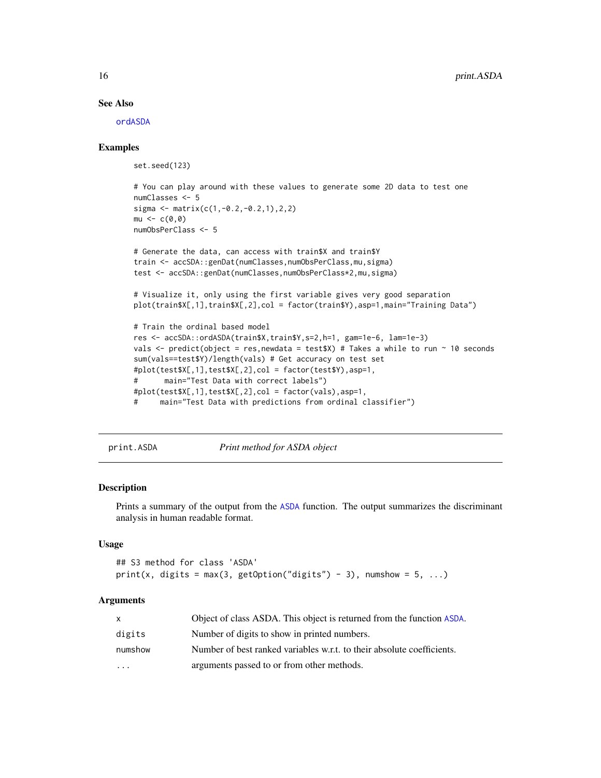#### See Also

[ordASDA](#page-11-1)

#### Examples

set.seed(123)

```
# You can play around with these values to generate some 2D data to test one
numClasses <- 5
sigma \leq matrix(c(1,-0.2,-0.2,1),2,2)
mu < -c(0, 0)numObsPerClass <- 5
```

```
# Generate the data, can access with train$X and train$Y
train <- accSDA::genDat(numClasses,numObsPerClass,mu,sigma)
test <- accSDA::genDat(numClasses,numObsPerClass*2,mu,sigma)
```
# Visualize it, only using the first variable gives very good separation plot(train\$X[,1],train\$X[,2],col = factor(train\$Y),asp=1,main="Training Data")

```
# Train the ordinal based model
res <- accSDA::ordASDA(train$X,train$Y,s=2,h=1, gam=1e-6, lam=1e-3)
vals <- predict(object = res, newdata = test$X) # Takes a while to run ~ 10 seconds
sum(vals==test$Y)/length(vals) # Get accuracy on test set
#plot(test$X[,1],test$X[,2],col = factor(test$Y),asp=1,
# main="Test Data with correct labels")
#plot(test $X[, 1], test $X[, 2], col = factor(vals), asp=1,# main="Test Data with predictions from ordinal classifier")
```
print.ASDA *Print method for ASDA object*

#### Description

Prints a summary of the output from the [ASDA](#page-1-1) function. The output summarizes the discriminant analysis in human readable format.

#### Usage

```
## S3 method for class 'ASDA'
print(x, digits = max(3, getOption("digits") - 3), numshow = 5, ...)
```
#### Arguments

|           | Object of class ASDA. This object is returned from the function ASDA.  |
|-----------|------------------------------------------------------------------------|
| digits    | Number of digits to show in printed numbers.                           |
| numshow   | Number of best ranked variables w.r.t. to their absolute coefficients. |
| $\ddotsc$ | arguments passed to or from other methods.                             |

<span id="page-15-0"></span>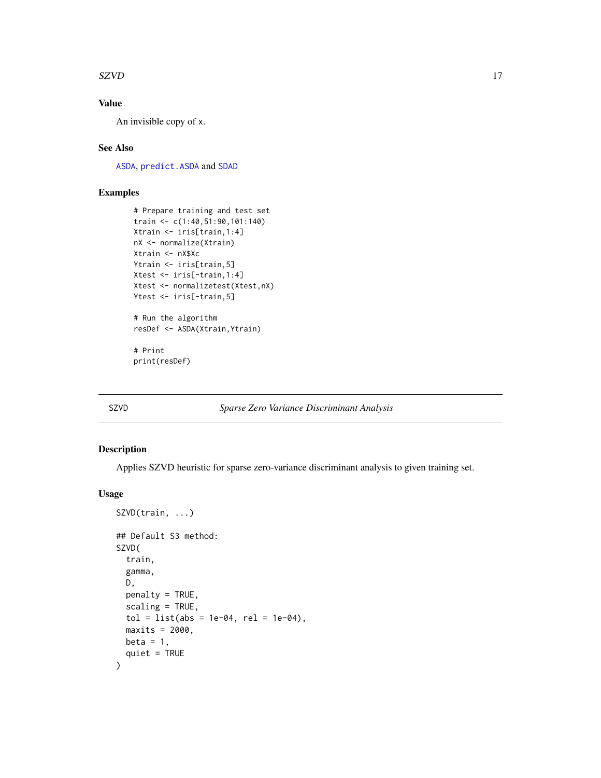#### <span id="page-16-0"></span> $SZVD$  17

# Value

An invisible copy of x.

#### See Also

[ASDA](#page-1-1), [predict.ASDA](#page-13-1) and [SDAD](#page-0-0)

# Examples

```
# Prepare training and test set
train <- c(1:40,51:90,101:140)
Xtrain <- iris[train,1:4]
nX <- normalize(Xtrain)
Xtrain <- nX$Xc
Ytrain <- iris[train,5]
Xtest <- iris[-train,1:4]
Xtest <- normalizetest(Xtest,nX)
Ytest <- iris[-train,5]
# Run the algorithm
resDef <- ASDA(Xtrain,Ytrain)
# Print
print(resDef)
```
# <span id="page-16-1"></span>SZVD *Sparse Zero Variance Discriminant Analysis*

#### Description

Applies SZVD heuristic for sparse zero-variance discriminant analysis to given training set.

#### Usage

```
SZVD(train, ...)
## Default S3 method:
SZVD(
  train,
  gamma,
  D,
 penalty = TRUE,
  scaling = TRUE,tol = list(abs = 1e-04, rel = 1e-04),maxits = 2000,
 beta = 1,
  quiet = TRUE)
```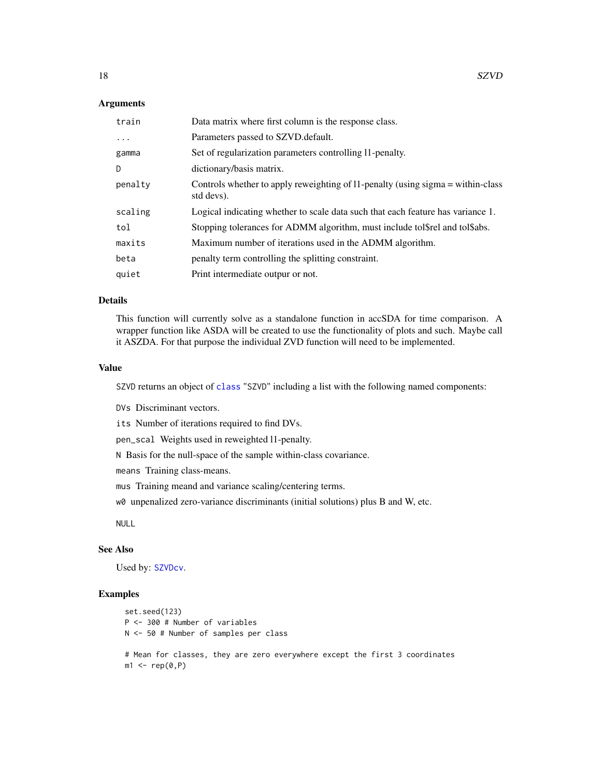#### <span id="page-17-0"></span>Arguments

| train   | Data matrix where first column is the response class.                                         |
|---------|-----------------------------------------------------------------------------------------------|
| .       | Parameters passed to SZVD.default.                                                            |
| gamma   | Set of regularization parameters controlling 11-penalty.                                      |
| D.      | dictionary/basis matrix.                                                                      |
| penalty | Controls whether to apply reweighting of 11-penalty (using sigma = within-class<br>std devs). |
| scaling | Logical indicating whether to scale data such that each feature has variance 1.               |
| tol     | Stopping tolerances for ADMM algorithm, must include tolstel and tolsabs.                     |
| maxits  | Maximum number of iterations used in the ADMM algorithm.                                      |
| beta    | penalty term controlling the splitting constraint.                                            |
| quiet   | Print intermediate outpur or not.                                                             |

## Details

This function will currently solve as a standalone function in accSDA for time comparison. A wrapper function like ASDA will be created to use the functionality of plots and such. Maybe call it ASZDA. For that purpose the individual ZVD function will need to be implemented.

#### Value

SZVD returns an object of [class](#page-0-0) "SZVD" including a list with the following named components:

DVs Discriminant vectors.

its Number of iterations required to find DVs.

pen\_scal Weights used in reweighted l1-penalty.

N Basis for the null-space of the sample within-class covariance.

means Training class-means.

mus Training meand and variance scaling/centering terms.

w0 unpenalized zero-variance discriminants (initial solutions) plus B and W, etc.

NULL

#### See Also

Used by: [SZVDcv](#page-18-1).

#### Examples

```
set.seed(123)
P <- 300 # Number of variables
N <- 50 # Number of samples per class
# Mean for classes, they are zero everywhere except the first 3 coordinates
m1 \leftarrow rep(0, P)
```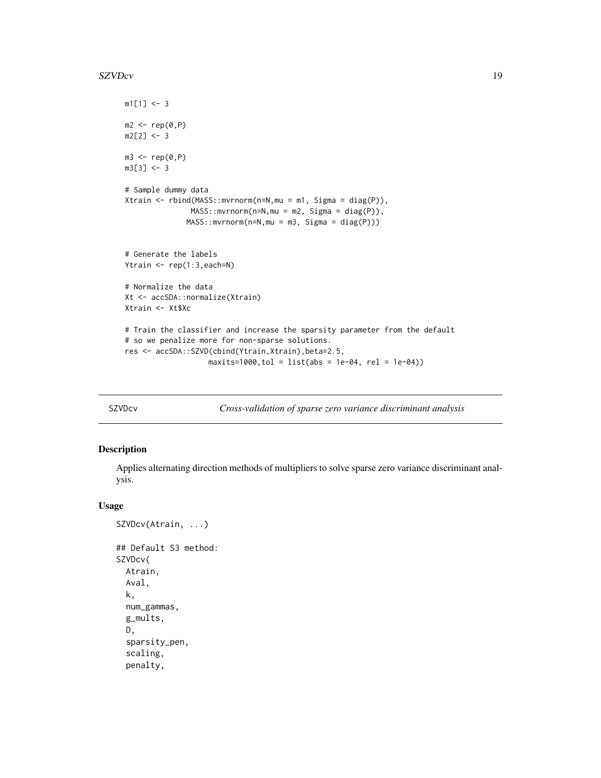#### <span id="page-18-0"></span> $SZVDcv$  19

```
m1[1] <- 3
m2 < -rep(0, P)m2[2] < -3m3 \leq -rep(0, P)m3[3] < -3# Sample dummy data
Xtrain <- rbind(MASS::mvrnorm(n=N,mu = m1, Sigma = diag(P)),
               MASS::mvrnorm(n=N,mu = m2, Sigma = diag(P)),
              MASS::mvrnorm(n=N,mu = m3, Sigma = diag(P)))
# Generate the labels
Ytrain <- rep(1:3,each=N)
# Normalize the data
Xt <- accSDA::normalize(Xtrain)
Xtrain <- Xt$Xc
# Train the classifier and increase the sparsity parameter from the default
# so we penalize more for non-sparse solutions.
res <- accSDA::SZVD(cbind(Ytrain,Xtrain),beta=2.5,
                   maxits=1000, tol = list(abs = 1e-04, rel = 1e-04)
```
<span id="page-18-1"></span>SZVDcv *Cross-validation of sparse zero variance discriminant analysis*

# Description

Applies alternating direction methods of multipliers to solve sparse zero variance discriminant analysis.

#### Usage

```
SZVDcv(Atrain, ...)
## Default S3 method:
SZVDcv(
 Atrain,
 Aval,
 k,
 num_gammas,
 g_mults,
 D,
  sparsity_pen,
  scaling,
  penalty,
```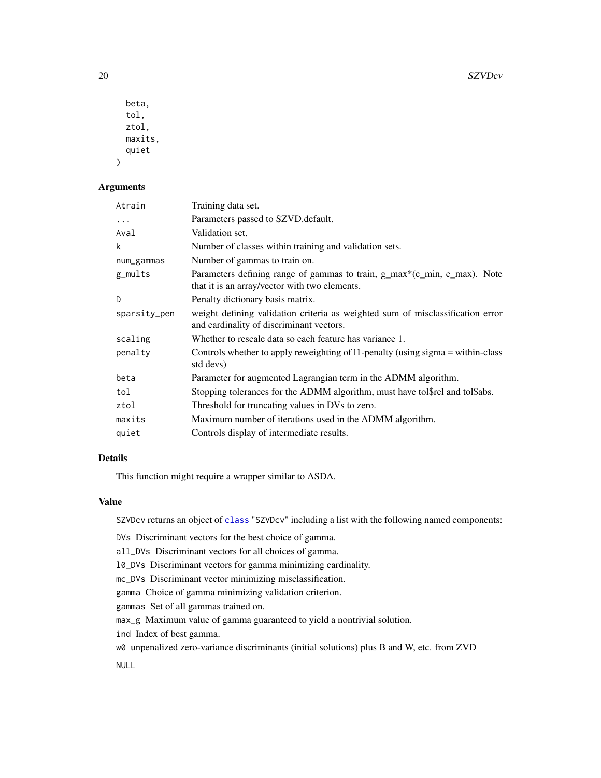| beta.   |
|---------|
| tol.    |
| ztol,   |
| maxits. |
| quiet   |
|         |

#### Arguments

| Atrain       | Training data set.                                                                                                         |
|--------------|----------------------------------------------------------------------------------------------------------------------------|
| $\cdots$     | Parameters passed to SZVD. default.                                                                                        |
| Aval         | Validation set.                                                                                                            |
| k            | Number of classes within training and validation sets.                                                                     |
| num_gammas   | Number of gammas to train on.                                                                                              |
| g_mults      | Parameters defining range of gammas to train, g_max*(c_min, c_max). Note<br>that it is an array/vector with two elements.  |
| D            | Penalty dictionary basis matrix.                                                                                           |
| sparsity_pen | weight defining validation criteria as weighted sum of misclassification error<br>and cardinality of discriminant vectors. |
| scaling      | Whether to rescale data so each feature has variance 1.                                                                    |
| penalty      | Controls whether to apply reweighting of 11-penalty (using sigma = within-class<br>std devs)                               |
| beta         | Parameter for augmented Lagrangian term in the ADMM algorithm.                                                             |
| tol          | Stopping tolerances for the ADMM algorithm, must have tol\$rel and tol\$abs.                                               |
| ztol         | Threshold for truncating values in DVs to zero.                                                                            |
| maxits       | Maximum number of iterations used in the ADMM algorithm.                                                                   |
| quiet        | Controls display of intermediate results.                                                                                  |

# Details

This function might require a wrapper similar to ASDA.

# Value

SZVDcv returns an object of [class](#page-0-0) "SZVDcv" including a list with the following named components:

DVs Discriminant vectors for the best choice of gamma.

all\_DVs Discriminant vectors for all choices of gamma.

l0\_DVs Discriminant vectors for gamma minimizing cardinality.

mc\_DVs Discriminant vector minimizing misclassification.

gamma Choice of gamma minimizing validation criterion.

gammas Set of all gammas trained on.

max\_g Maximum value of gamma guaranteed to yield a nontrivial solution.

ind Index of best gamma.

w0 unpenalized zero-variance discriminants (initial solutions) plus B and W, etc. from ZVD

NULL

<span id="page-19-0"></span>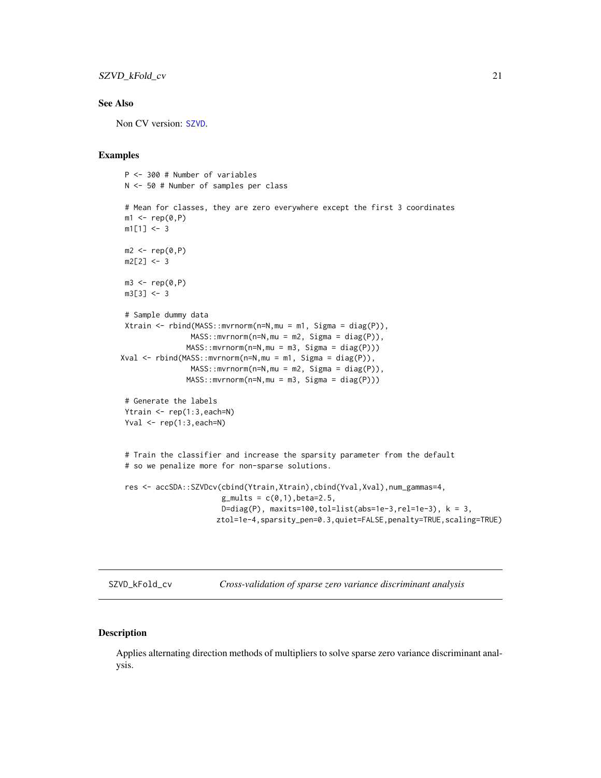# <span id="page-20-0"></span>SZVD\_kFold\_cv 21

# See Also

Non CV version: [SZVD](#page-16-1).

#### Examples

```
P <- 300 # Number of variables
 N <- 50 # Number of samples per class
 # Mean for classes, they are zero everywhere except the first 3 coordinates
 m1 \leftarrow rep(0, P)m1[1] < -3m2 < - rep(0, P)m2[2] < -3m3 \leq -rep(0, P)m3[3] < -3# Sample dummy data
 Xtrain <- rbind(MASS::mvrnorm(n=N,mu = m1, Sigma = diag(P)),
                MASS: : mvrnorm(n=N, mu = m2, Sigma = diag(P)),MASS::mvrnorm(n=N,mu = m3, Sigma = diag(P)))Xval <- rbind(MASS::mvrnorm(n=N,mu = m1, Sigma = diag(P)),
                MASS: : mvrnorm(n=N, mu = m2, Sigma = diag(P)),MASS::mvrnorm(n=N,mu = m3, Sigma = diag(P)))
 # Generate the labels
 Ytrain \leq rep(1:3, each=N)
 Yval \leq rep(1:3, each=N)
 # Train the classifier and increase the sparsity parameter from the default
 # so we penalize more for non-sparse solutions.
 res <- accSDA::SZVDcv(cbind(Ytrain,Xtrain),cbind(Yval,Xval),num_gammas=4,
                       g_{\text{mults}} = c(0,1), beta=2.5,
                       D=diag(P), maxits=100,tol=list(abs=1e-3,rel=1e-3), k = 3,
                      ztol=1e-4,sparsity_pen=0.3,quiet=FALSE,penalty=TRUE,scaling=TRUE)
```
SZVD\_kFold\_cv *Cross-validation of sparse zero variance discriminant analysis*

# Description

Applies alternating direction methods of multipliers to solve sparse zero variance discriminant analysis.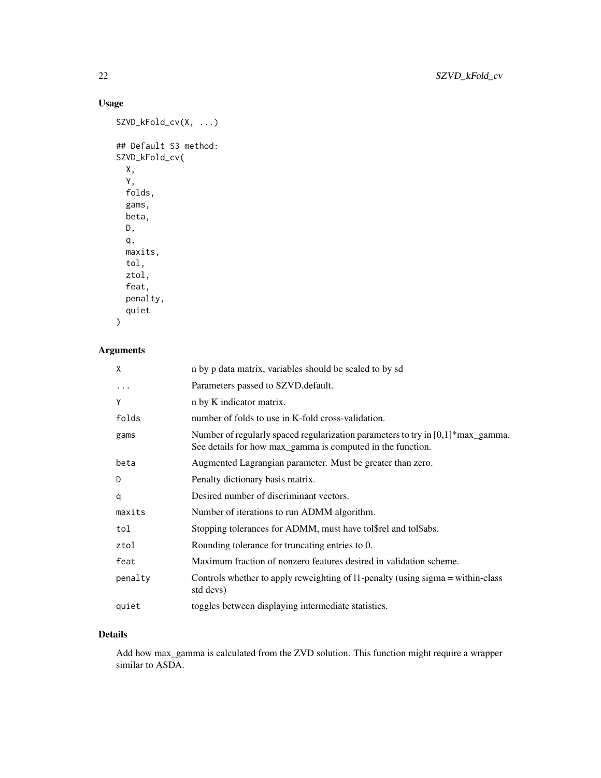# Usage

```
SZVD_kFold_cv(X, ...)
## Default S3 method:
SZVD_kFold_cv(
 X,
 Y,
 folds,
 gams,
 beta,
 D,
 q,
 maxits,
  tol,
 ztol,
  feat,
 penalty,
  quiet
```

```
)
```
# Arguments

| X         | n by p data matrix, variables should be scaled to by sd                                                                                           |
|-----------|---------------------------------------------------------------------------------------------------------------------------------------------------|
| $\ddotsc$ | Parameters passed to SZVD.default.                                                                                                                |
| Y         | n by K indicator matrix.                                                                                                                          |
| folds     | number of folds to use in K-fold cross-validation.                                                                                                |
| gams      | Number of regularly spaced regularization parameters to try in $[0,1]^*$ max_gamma.<br>See details for how max_gamma is computed in the function. |
| beta      | Augmented Lagrangian parameter. Must be greater than zero.                                                                                        |
| D         | Penalty dictionary basis matrix.                                                                                                                  |
| q         | Desired number of discriminant vectors.                                                                                                           |
| maxits    | Number of iterations to run ADMM algorithm.                                                                                                       |
| tol       | Stopping tolerances for ADMM, must have tol\$rel and tol\$abs.                                                                                    |
| ztol      | Rounding tolerance for truncating entries to 0.                                                                                                   |
| feat      | Maximum fraction of nonzero features desired in validation scheme.                                                                                |
| penalty   | Controls whether to apply reweighting of 11-penalty (using sigma = within-class<br>std devs)                                                      |
| quiet     | toggles between displaying intermediate statistics.                                                                                               |

# Details

Add how max\_gamma is calculated from the ZVD solution. This function might require a wrapper similar to ASDA.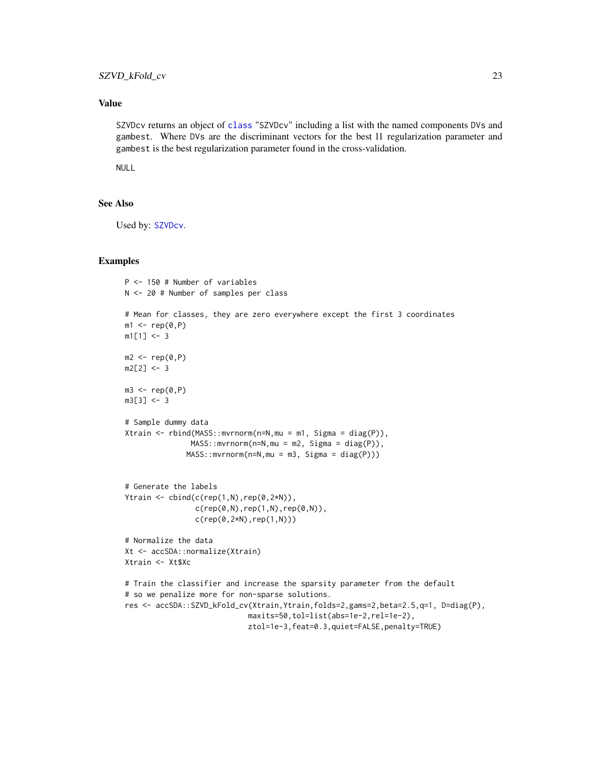## <span id="page-22-0"></span>Value

SZVDcv returns an object of [class](#page-0-0) "SZVDcv" including a list with the named components DVs and gambest. Where DVs are the discriminant vectors for the best l1 regularization parameter and gambest is the best regularization parameter found in the cross-validation.

NULL

#### See Also

Used by: [SZVDcv](#page-18-1).

#### Examples

```
P <- 150 # Number of variables
N <- 20 # Number of samples per class
# Mean for classes, they are zero everywhere except the first 3 coordinates
m1 \leftarrow rep(0, P)m1[1] < -3m2 \leftarrow rep(0, P)m2[2] < -3m3 \leq -rep(0, P)m3[3] <- 3
# Sample dummy data
Xtrain <- rbind(MASS::mvrnorm(n=N,mu = m1, Sigma = diag(P)),
               MASS::mvrnorm(n=N,mu = m2, Sigma = diag(P)),
              MASS::mvrnorm(n=N,mu = m3, Sigma = diag(P)))
# Generate the labels
Ytrain \le cbind(c(rep(1,N),rep(0,2*N)),
                c(rep(\theta, N), rep(1, N),rep(\theta, N)),c(rep(0,2*N),rep(1,N)))
# Normalize the data
Xt <- accSDA::normalize(Xtrain)
Xtrain <- Xt$Xc
# Train the classifier and increase the sparsity parameter from the default
# so we penalize more for non-sparse solutions.
res <- accSDA::SZVD_kFold_cv(Xtrain,Ytrain,folds=2,gams=2,beta=2.5,q=1, D=diag(P),
                             maxits=50,tol=list(abs=1e-2,rel=1e-2),
                             ztol=1e-3,feat=0.3,quiet=FALSE,penalty=TRUE)
```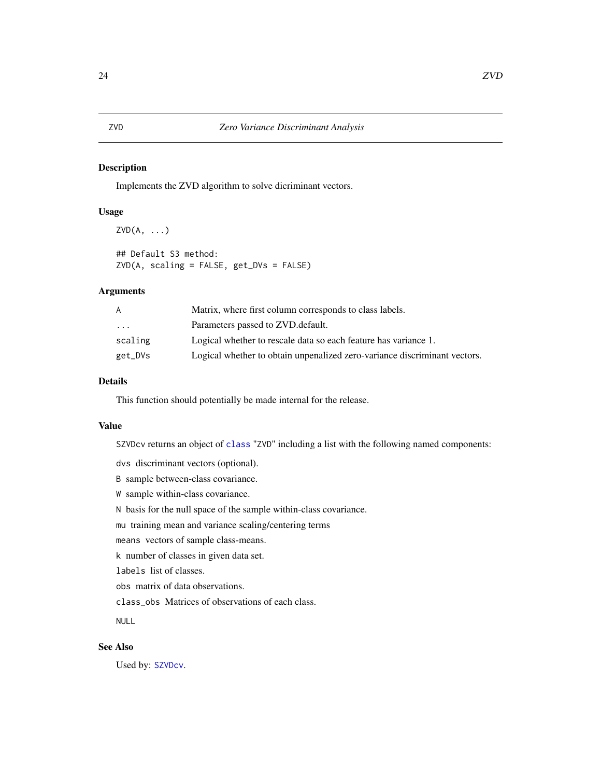# <span id="page-23-0"></span>Description

Implements the ZVD algorithm to solve dicriminant vectors.

### Usage

```
ZVD(A, \ldots)## Default S3 method:
ZVD(A, scaling = FALSE, get_DVs = FALSE)
```
# Arguments

| A        | Matrix, where first column corresponds to class labels.                   |
|----------|---------------------------------------------------------------------------|
| $\cdots$ | Parameters passed to ZVD. default.                                        |
| scaling  | Logical whether to rescale data so each feature has variance 1.           |
| get_DVs  | Logical whether to obtain unpenalized zero-variance discriminant vectors. |

#### Details

This function should potentially be made internal for the release.

#### Value

SZVDcv returns an object of [class](#page-0-0) "ZVD" including a list with the following named components:

dvs discriminant vectors (optional).

B sample between-class covariance.

W sample within-class covariance.

N basis for the null space of the sample within-class covariance.

mu training mean and variance scaling/centering terms

means vectors of sample class-means.

k number of classes in given data set.

labels list of classes.

obs matrix of data observations.

class\_obs Matrices of observations of each class.

NULL

# See Also

Used by: [SZVDcv](#page-18-1).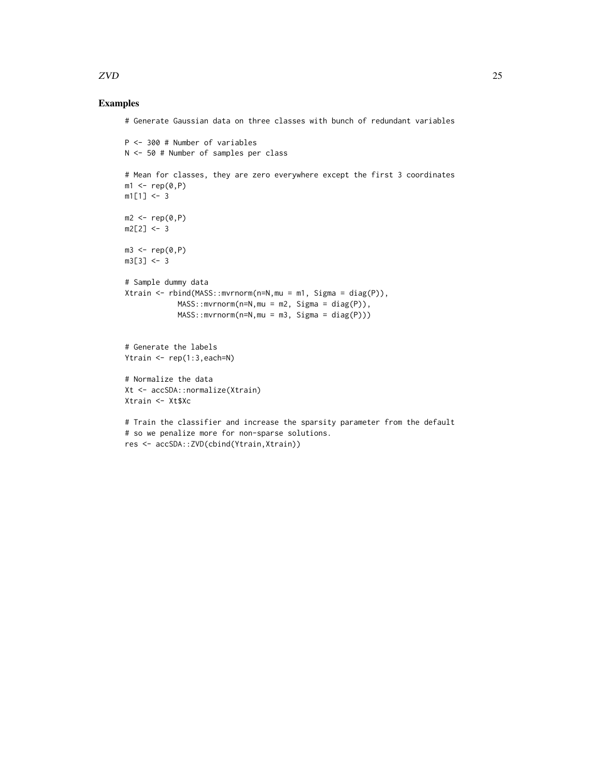#### Examples

```
# Generate Gaussian data on three classes with bunch of redundant variables
```

```
P <- 300 # Number of variables
N <- 50 # Number of samples per class
# Mean for classes, they are zero everywhere except the first 3 coordinates
m1 \leftarrow rep(0, P)m1[1] < -3m2 < -rep(0, P)m2[2] < -3m3 \leq -rep(0, P)m3[3] < - 3# Sample dummy data
Xtrain <- rbind(MASS::mvrnorm(n=N,mu = m1, Sigma = diag(P)),
            MASS: : mvrnorm(n=N, mu = m2, Sigma = diag(P)),MASS::mvrnorm(n=N,mu = m3, Sigma = diag(P)))
# Generate the labels
Ytrain <- rep(1:3,each=N)
# Normalize the data
Xt <- accSDA::normalize(Xtrain)
Xtrain <- Xt$Xc
# Train the classifier and increase the sparsity parameter from the default
# so we penalize more for non-sparse solutions.
res <- accSDA::ZVD(cbind(Ytrain,Xtrain))
```
 $ZVD$  25